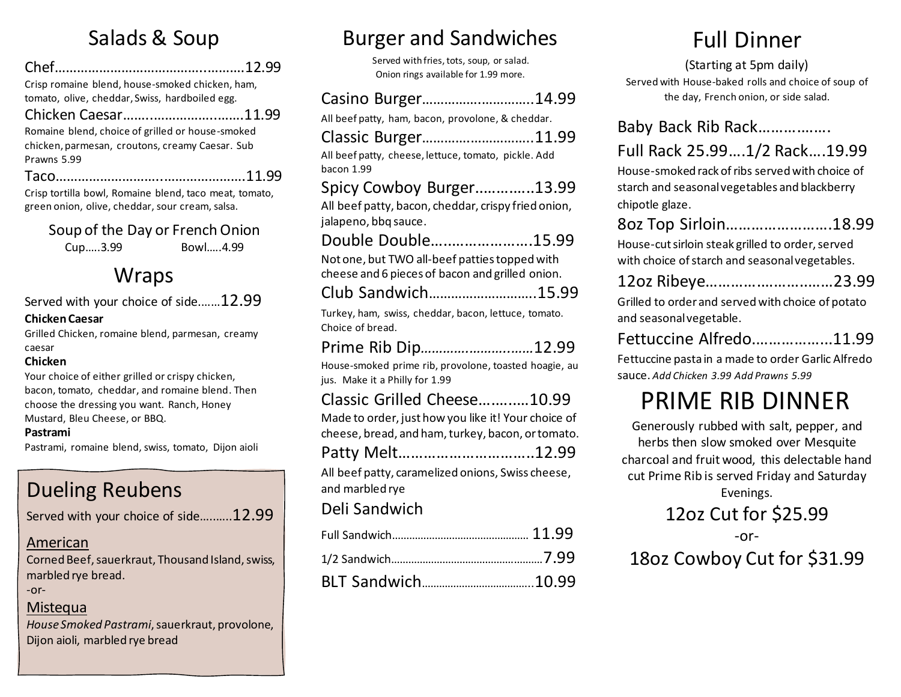# Salads & Soup

| Crisp romaine blend, house-smoked chicken, ham, |
|-------------------------------------------------|

tomato, olive, cheddar, Swiss, hardboiled egg. Chicken Caesar……..……………..…….11.99

Romaine blend, choice of grilled or house-smoked chicken, parmesan, croutons, creamy Caesar. Sub Prawns 5.99

Taco………………………..………………….11.99

Crisp tortilla bowl, Romaine blend, taco meat, tomato, green onion, olive, cheddar, sour cream, salsa.

Soup of the Day or French Onion

Cup…..3.99 Bowl…..4.99

# **Wraps**

Served with your choice of side.……12.99

#### **Chicken Caesar**

Grilled Chicken, romaine blend, parmesan, creamy caesar

#### **Chicken**

Your choice of either grilled or crispy chicken, bacon, tomato, cheddar, and romaine blend. Then choose the dressing you want. Ranch, Honey Mustard, Bleu Cheese, or BBQ.

#### **Pastrami**

Pastrami, romaine blend, swiss, tomato, Dijon aioli

# Dueling Reubens

Served with your choice of side..........12.99

#### American

Corned Beef, sauerkraut, Thousand Island, swiss, marbled rye bread.

-or-

#### **Mistequa**

*House Smoked Pastrami*, sauerkraut, provolone, Dijon aioli, marbled rye bread

# Burger and Sandwiches

Served with fries, tots, soup, or salad. Onion rings available for 1.99 more.

### Casino Burger…………….…………..14.99

All beef patty, ham, bacon, provolone, & cheddar.

| Classic Burger11.99                                                      |
|--------------------------------------------------------------------------|
| All beef patty, cheese, lettuce, tomato, pickle. Add                     |
| bacon 1.99                                                               |
| Spicy Cowboy Burger13.99                                                 |
| All beef patty, bacon, cheddar, crispy fried onion,                      |
| jalapeno, bbq sauce.                                                     |
| Double Double15.99                                                       |
| Not one, but TWO all-beef patties topped with                            |
| cheese and 6 pieces of bacon and grilled onion.                          |
| Club Sandwich15.99                                                       |
| Turkey, ham, swiss, cheddar, bacon, lettuce, tomato.<br>Choice of bread. |
|                                                                          |

## Prime Rib Dip*………….………..……*12.99

House-smoked prime rib, provolone, toasted hoagie, au jus. Make it a Philly for 1.99

### Classic Grilled Cheese….…..…10.99

Made to order, just how you like it! Your choice of cheese, bread, and ham, turkey, bacon, or tomato.

Patty Melt…………………………..12.99

All beef patty, caramelized onions, Swiss cheese, and marbled rye

### Deli Sandwich

# Full Dinner

### (Starting at 5pm daily)

Served with House-baked rolls and choice of soup of the day, French onion, or side salad.

### Baby Back Rib Rack……….…….

### Full Rack 25.99….1/2 Rack….19.99

House-smoked rack of ribs served with choice of starch and seasonal vegetables and blackberry chipotle glaze.

### 8oz Top Sirloin…………………….18.99

House-cut sirloin steak grilled to order, served with choice of starch and seasonal vegetables.

|  |  | 12oz Ribeye23.99 |  |
|--|--|------------------|--|
|  |  |                  |  |

Grilled to order and served with choice of potato and seasonal vegetable.

|  |  | Fettuccine Alfredo11.99 |
|--|--|-------------------------|
|--|--|-------------------------|

Fettuccine pasta in a made to order Garlic Alfredo sauce. *Add Chicken 3.99 Add Prawns 5.99*

# PRIME RIB DINNER

Generously rubbed with salt, pepper, and herbs then slow smoked over Mesquite charcoal and fruit wood, this delectable hand cut Prime Rib is served Friday and Saturday Evenings.

12oz Cut for \$25.99

-or-

# 18oz Cowboy Cut for \$31.99